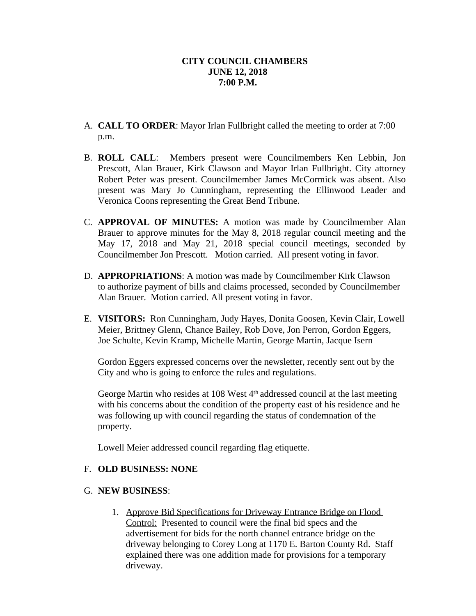- A. **CALL TO ORDER**: Mayor Irlan Fullbright called the meeting to order at 7:00 p.m.
- B. **ROLL CALL**: Members present were Councilmembers Ken Lebbin, Jon Prescott, Alan Brauer, Kirk Clawson and Mayor Irlan Fullbright. City attorney Robert Peter was present. Councilmember James McCormick was absent. Also present was Mary Jo Cunningham, representing the Ellinwood Leader and Veronica Coons representing the Great Bend Tribune.
- C. **APPROVAL OF MINUTES:** A motion was made by Councilmember Alan Brauer to approve minutes for the May 8, 2018 regular council meeting and the May 17, 2018 and May 21, 2018 special council meetings, seconded by Councilmember Jon Prescott. Motion carried. All present voting in favor.
- D. **APPROPRIATIONS**: A motion was made by Councilmember Kirk Clawson to authorize payment of bills and claims processed, seconded by Councilmember Alan Brauer. Motion carried. All present voting in favor.
- E. **VISITORS:** Ron Cunningham, Judy Hayes, Donita Goosen, Kevin Clair, Lowell Meier, Brittney Glenn, Chance Bailey, Rob Dove, Jon Perron, Gordon Eggers, Joe Schulte, Kevin Kramp, Michelle Martin, George Martin, Jacque Isern

Gordon Eggers expressed concerns over the newsletter, recently sent out by the City and who is going to enforce the rules and regulations.

George Martin who resides at 108 West 4<sup>th</sup> addressed council at the last meeting with his concerns about the condition of the property east of his residence and he was following up with council regarding the status of condemnation of the property.

Lowell Meier addressed council regarding flag etiquette.

## F. **OLD BUSINESS: NONE**

## G. **NEW BUSINESS**:

1. Approve Bid Specifications for Driveway Entrance Bridge on Flood Control: Presented to council were the final bid specs and the advertisement for bids for the north channel entrance bridge on the driveway belonging to Corey Long at 1170 E. Barton County Rd. Staff explained there was one addition made for provisions for a temporary driveway.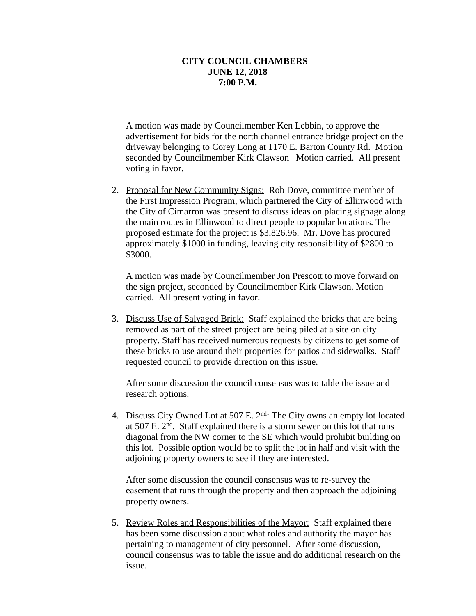A motion was made by Councilmember Ken Lebbin, to approve the advertisement for bids for the north channel entrance bridge project on the driveway belonging to Corey Long at 1170 E. Barton County Rd. Motion seconded by Councilmember Kirk Clawson Motion carried. All present voting in favor.

2. Proposal for New Community Signs: Rob Dove, committee member of the First Impression Program, which partnered the City of Ellinwood with the City of Cimarron was present to discuss ideas on placing signage along the main routes in Ellinwood to direct people to popular locations. The proposed estimate for the project is \$3,826.96. Mr. Dove has procured approximately \$1000 in funding, leaving city responsibility of \$2800 to \$3000.

A motion was made by Councilmember Jon Prescott to move forward on the sign project, seconded by Councilmember Kirk Clawson. Motion carried. All present voting in favor.

3. Discuss Use of Salvaged Brick: Staff explained the bricks that are being removed as part of the street project are being piled at a site on city property. Staff has received numerous requests by citizens to get some of these bricks to use around their properties for patios and sidewalks. Staff requested council to provide direction on this issue.

After some discussion the council consensus was to table the issue and research options.

4. Discuss City Owned Lot at 507 E.  $2<sup>nd</sup>$ : The City owns an empty lot located at 507 E. 2nd. Staff explained there is a storm sewer on this lot that runs diagonal from the NW corner to the SE which would prohibit building on this lot. Possible option would be to split the lot in half and visit with the adjoining property owners to see if they are interested.

After some discussion the council consensus was to re-survey the easement that runs through the property and then approach the adjoining property owners.

5. Review Roles and Responsibilities of the Mayor: Staff explained there has been some discussion about what roles and authority the mayor has pertaining to management of city personnel. After some discussion, council consensus was to table the issue and do additional research on the issue.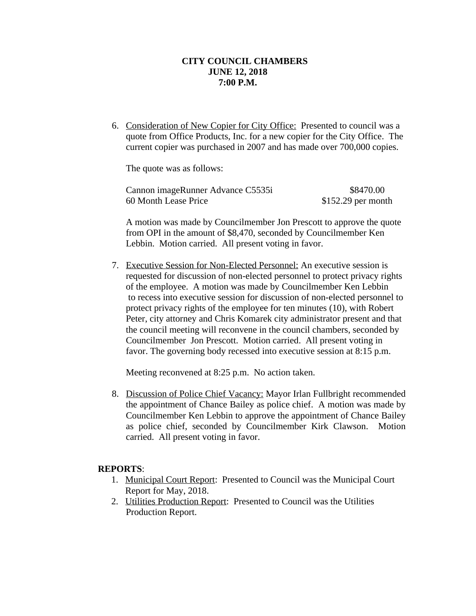6. Consideration of New Copier for City Office: Presented to council was a quote from Office Products, Inc. for a new copier for the City Office. The current copier was purchased in 2007 and has made over 700,000 copies.

The quote was as follows:

| Cannon imageRunner Advance C5535i | \$8470.00           |
|-----------------------------------|---------------------|
| 60 Month Lease Price              | $$152.29$ per month |

A motion was made by Councilmember Jon Prescott to approve the quote from OPI in the amount of \$8,470, seconded by Councilmember Ken Lebbin. Motion carried. All present voting in favor.

7. Executive Session for Non-Elected Personnel: An executive session is requested for discussion of non-elected personnel to protect privacy rights of the employee. A motion was made by Councilmember Ken Lebbin to recess into executive session for discussion of non-elected personnel to protect privacy rights of the employee for ten minutes (10), with Robert Peter, city attorney and Chris Komarek city administrator present and that the council meeting will reconvene in the council chambers, seconded by Councilmember Jon Prescott. Motion carried. All present voting in favor. The governing body recessed into executive session at 8:15 p.m.

Meeting reconvened at 8:25 p.m. No action taken.

8. Discussion of Police Chief Vacancy: Mayor Irlan Fullbright recommended the appointment of Chance Bailey as police chief. A motion was made by Councilmember Ken Lebbin to approve the appointment of Chance Bailey as police chief, seconded by Councilmember Kirk Clawson. Motion carried. All present voting in favor.

## **REPORTS**:

- 1. Municipal Court Report: Presented to Council was the Municipal Court Report for May, 2018.
- 2. Utilities Production Report: Presented to Council was the Utilities Production Report.